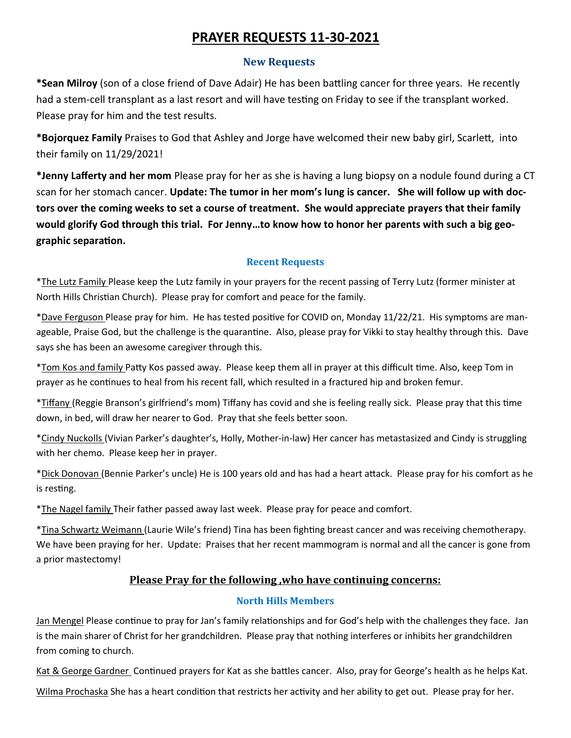# **PRAYER REQUESTS 11-30-2021**

### **New Requests**

**\*Sean Milroy** (son of a close friend of Dave Adair) He has been battling cancer for three years. He recently had a stem-cell transplant as a last resort and will have testing on Friday to see if the transplant worked. Please pray for him and the test results.

**\*Bojorquez Family** Praises to God that Ashley and Jorge have welcomed their new baby girl, Scarlett, into their family on 11/29/2021!

**\*Jenny Lafferty and her mom** Please pray for her as she is having a lung biopsy on a nodule found during a CT scan for her stomach cancer. **Update: The tumor in her mom's lung is cancer. She will follow up with doctors over the coming weeks to set a course of treatment. She would appreciate prayers that their family would glorify God through this trial. For Jenny…to know how to honor her parents with such a big geographic separation.** 

### **Recent Requests**

\*The Lutz Family Please keep the Lutz family in your prayers for the recent passing of Terry Lutz (former minister at North Hills Christian Church). Please pray for comfort and peace for the family.

\*Dave Ferguson Please pray for him. He has tested positive for COVID on, Monday 11/22/21. His symptoms are manageable, Praise God, but the challenge is the quarantine. Also, please pray for Vikki to stay healthy through this. Dave says she has been an awesome caregiver through this.

\*Tom Kos and family Patty Kos passed away. Please keep them all in prayer at this difficult time. Also, keep Tom in prayer as he continues to heal from his recent fall, which resulted in a fractured hip and broken femur.

\*Tiffany (Reggie Branson's girlfriend's mom) Tiffany has covid and she is feeling really sick. Please pray that this time down, in bed, will draw her nearer to God. Pray that she feels better soon.

\*Cindy Nuckolls (Vivian Parker's daughter's, Holly, Mother-in-law) Her cancer has metastasized and Cindy is struggling with her chemo. Please keep her in prayer.

\*Dick Donovan (Bennie Parker's uncle) He is 100 years old and has had a heart attack. Please pray for his comfort as he is resting.

\*The Nagel family Their father passed away last week. Please pray for peace and comfort.

\*Tina Schwartz Weimann (Laurie Wile's friend) Tina has been fighting breast cancer and was receiving chemotherapy. We have been praying for her. Update: Praises that her recent mammogram is normal and all the cancer is gone from a prior mastectomy!

# **Please Pray for the following ,who have continuing concerns:**

#### **North Hills Members**

Jan Mengel Please continue to pray for Jan's family relationships and for God's help with the challenges they face. Jan is the main sharer of Christ for her grandchildren. Please pray that nothing interferes or inhibits her grandchildren from coming to church.

Kat & George Gardner Continued prayers for Kat as she battles cancer. Also, pray for George's health as he helps Kat. Wilma Prochaska She has a heart condition that restricts her activity and her ability to get out. Please pray for her.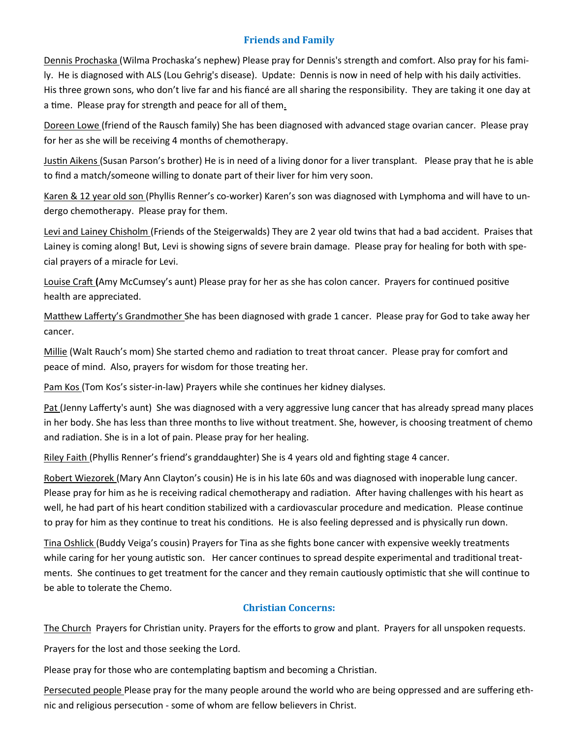### **Friends and Family**

Dennis Prochaska (Wilma Prochaska's nephew) Please pray for Dennis's strength and comfort. Also pray for his family. He is diagnosed with ALS (Lou Gehrig's disease). Update: Dennis is now in need of help with his daily activities. His three grown sons, who don't live far and his fiancé are all sharing the responsibility. They are taking it one day at a time. Please pray for strength and peace for all of them.

Doreen Lowe (friend of the Rausch family) She has been diagnosed with advanced stage ovarian cancer. Please pray for her as she will be receiving 4 months of chemotherapy.

Justin Aikens (Susan Parson's brother) He is in need of a living donor for a liver transplant. Please pray that he is able to find a match/someone willing to donate part of their liver for him very soon.

Karen & 12 year old son (Phyllis Renner's co-worker) Karen's son was diagnosed with Lymphoma and will have to undergo chemotherapy. Please pray for them.

Levi and Lainey Chisholm (Friends of the Steigerwalds) They are 2 year old twins that had a bad accident. Praises that Lainey is coming along! But, Levi is showing signs of severe brain damage. Please pray for healing for both with special prayers of a miracle for Levi.

Louise Craft **(**Amy McCumsey's aunt) Please pray for her as she has colon cancer. Prayers for continued positive health are appreciated.

Matthew Lafferty's Grandmother She has been diagnosed with grade 1 cancer. Please pray for God to take away her cancer.

Millie (Walt Rauch's mom) She started chemo and radiation to treat throat cancer. Please pray for comfort and peace of mind. Also, prayers for wisdom for those treating her.

Pam Kos (Tom Kos's sister-in-law) Prayers while she continues her kidney dialyses.

Pat (Jenny Lafferty's aunt) She was diagnosed with a very aggressive lung cancer that has already spread many places in her body. She has less than three months to live without treatment. She, however, is choosing treatment of chemo and radiation. She is in a lot of pain. Please pray for her healing.

Riley Faith (Phyllis Renner's friend's granddaughter) She is 4 years old and fighting stage 4 cancer.

Robert Wiezorek (Mary Ann Clayton's cousin) He is in his late 60s and was diagnosed with inoperable lung cancer. Please pray for him as he is receiving radical chemotherapy and radiation. After having challenges with his heart as well, he had part of his heart condition stabilized with a cardiovascular procedure and medication. Please continue to pray for him as they continue to treat his conditions. He is also feeling depressed and is physically run down.

Tina Oshlick (Buddy Veiga's cousin) Prayers for Tina as she fights bone cancer with expensive weekly treatments while caring for her young autistic son. Her cancer continues to spread despite experimental and traditional treatments. She continues to get treatment for the cancer and they remain cautiously optimistic that she will continue to be able to tolerate the Chemo.

## **Christian Concerns:**

The Church Prayers for Christian unity. Prayers for the efforts to grow and plant. Prayers for all unspoken requests.

Prayers for the lost and those seeking the Lord.

Please pray for those who are contemplating baptism and becoming a Christian.

Persecuted people Please pray for the many people around the world who are being oppressed and are suffering ethnic and religious persecution - some of whom are fellow believers in Christ.